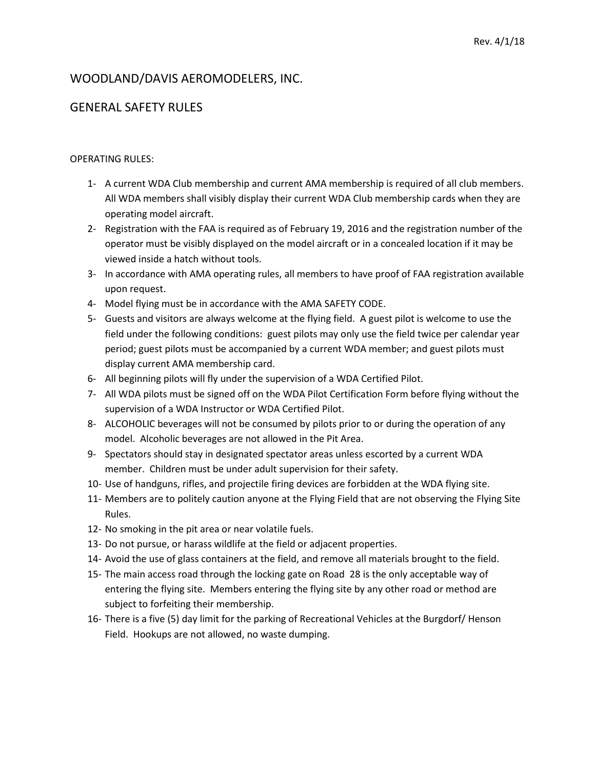# WOODLAND/DAVIS AEROMODELERS, INC.

# GENERAL SAFETY RULES

### OPERATING RULES:

- 1- A current WDA Club membership and current AMA membership is required of all club members. All WDA members shall visibly display their current WDA Club membership cards when they are operating model aircraft.
- 2- Registration with the FAA is required as of February 19, 2016 and the registration number of the operator must be visibly displayed on the model aircraft or in a concealed location if it may be viewed inside a hatch without tools.
- 3- In accordance with AMA operating rules, all members to have proof of FAA registration available upon request.
- 4- Model flying must be in accordance with the AMA SAFETY CODE.
- 5- Guests and visitors are always welcome at the flying field. A guest pilot is welcome to use the field under the following conditions: guest pilots may only use the field twice per calendar year period; guest pilots must be accompanied by a current WDA member; and guest pilots must display current AMA membership card.
- 6- All beginning pilots will fly under the supervision of a WDA Certified Pilot.
- 7- All WDA pilots must be signed off on the WDA Pilot Certification Form before flying without the supervision of a WDA Instructor or WDA Certified Pilot.
- 8- ALCOHOLIC beverages will not be consumed by pilots prior to or during the operation of any model. Alcoholic beverages are not allowed in the Pit Area.
- 9- Spectators should stay in designated spectator areas unless escorted by a current WDA member. Children must be under adult supervision for their safety.
- 10- Use of handguns, rifles, and projectile firing devices are forbidden at the WDA flying site.
- 11- Members are to politely caution anyone at the Flying Field that are not observing the Flying Site Rules.
- 12- No smoking in the pit area or near volatile fuels.
- 13- Do not pursue, or harass wildlife at the field or adjacent properties.
- 14- Avoid the use of glass containers at the field, and remove all materials brought to the field.
- 15- The main access road through the locking gate on Road 28 is the only acceptable way of entering the flying site. Members entering the flying site by any other road or method are subject to forfeiting their membership.
- 16- There is a five (5) day limit for the parking of Recreational Vehicles at the Burgdorf/ Henson Field. Hookups are not allowed, no waste dumping.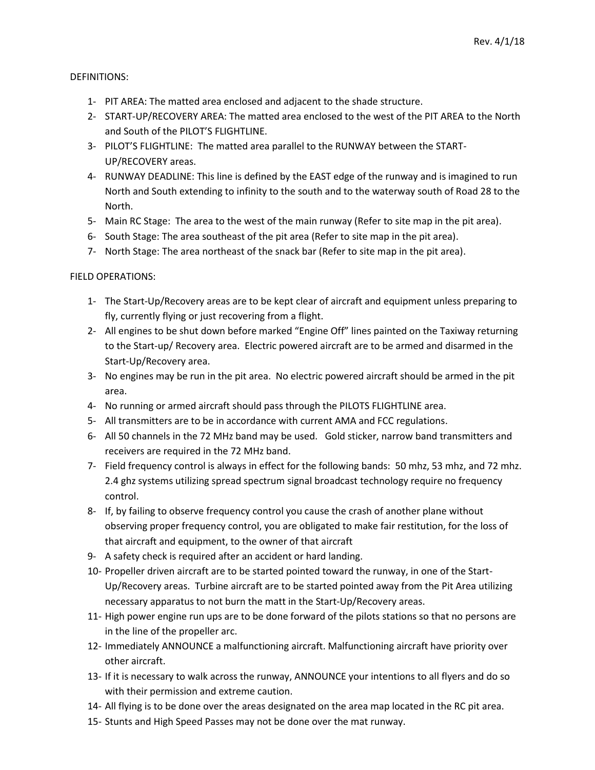## DEFINITIONS:

- 1- PIT AREA: The matted area enclosed and adjacent to the shade structure.
- 2- START-UP/RECOVERY AREA: The matted area enclosed to the west of the PIT AREA to the North and South of the PILOT'S FLIGHTLINE.
- 3- PILOT'S FLIGHTLINE: The matted area parallel to the RUNWAY between the START-UP/RECOVERY areas.
- 4- RUNWAY DEADLINE: This line is defined by the EAST edge of the runway and is imagined to run North and South extending to infinity to the south and to the waterway south of Road 28 to the North.
- 5- Main RC Stage: The area to the west of the main runway (Refer to site map in the pit area).
- 6- South Stage: The area southeast of the pit area (Refer to site map in the pit area).
- 7- North Stage: The area northeast of the snack bar (Refer to site map in the pit area).

#### FIELD OPERATIONS:

- 1- The Start-Up/Recovery areas are to be kept clear of aircraft and equipment unless preparing to fly, currently flying or just recovering from a flight.
- 2- All engines to be shut down before marked "Engine Off" lines painted on the Taxiway returning to the Start-up/ Recovery area. Electric powered aircraft are to be armed and disarmed in the Start-Up/Recovery area.
- 3- No engines may be run in the pit area. No electric powered aircraft should be armed in the pit area.
- 4- No running or armed aircraft should pass through the PILOTS FLIGHTLINE area.
- 5- All transmitters are to be in accordance with current AMA and FCC regulations.
- 6- All 50 channels in the 72 MHz band may be used. Gold sticker, narrow band transmitters and receivers are required in the 72 MHz band.
- 7- Field frequency control is always in effect for the following bands: 50 mhz, 53 mhz, and 72 mhz. 2.4 ghz systems utilizing spread spectrum signal broadcast technology require no frequency control.
- 8- If, by failing to observe frequency control you cause the crash of another plane without observing proper frequency control, you are obligated to make fair restitution, for the loss of that aircraft and equipment, to the owner of that aircraft
- 9- A safety check is required after an accident or hard landing.
- 10- Propeller driven aircraft are to be started pointed toward the runway, in one of the Start-Up/Recovery areas. Turbine aircraft are to be started pointed away from the Pit Area utilizing necessary apparatus to not burn the matt in the Start-Up/Recovery areas.
- 11- High power engine run ups are to be done forward of the pilots stations so that no persons are in the line of the propeller arc.
- 12- Immediately ANNOUNCE a malfunctioning aircraft. Malfunctioning aircraft have priority over other aircraft.
- 13- If it is necessary to walk across the runway, ANNOUNCE your intentions to all flyers and do so with their permission and extreme caution.
- 14- All flying is to be done over the areas designated on the area map located in the RC pit area.
- 15- Stunts and High Speed Passes may not be done over the mat runway.